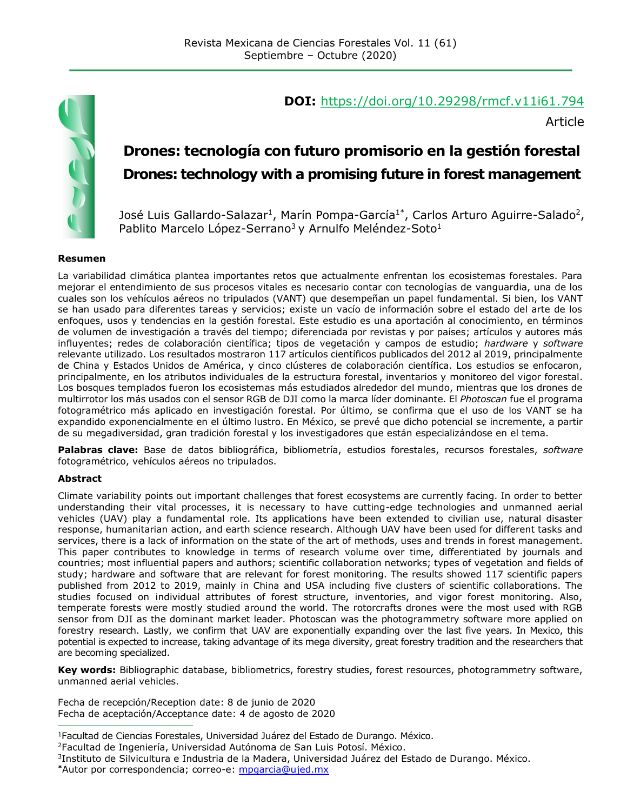

#### **DOI:** <https://doi.org/10.29298/rmcf.v11i61.794>

Article

# **Drones: tecnología con futuro promisorio en la gestión forestal Drones: technology with a promising future in forest management**

José Luis Gallardo-Salazar<sup>1</sup>, Marín Pompa-García<sup>1\*</sup>, Carlos Arturo Aguirre-Salado<sup>2</sup>, Pablito Marcelo López-Serrano<sup>3</sup> y Arnulfo Meléndez-Soto<sup>1</sup>

#### **Resumen**

La variabilidad climática plantea importantes retos que actualmente enfrentan los ecosistemas forestales. Para mejorar el entendimiento de sus procesos vitales es necesario contar con tecnologías de vanguardia, una de los cuales son los vehículos aéreos no tripulados (VANT) que desempeñan un papel fundamental. Si bien, los VANT se han usado para diferentes tareas y servicios; existe un vacío de información sobre el estado del arte de los enfoques, usos y tendencias en la gestión forestal. Este estudio es una aportación al conocimiento, en términos de volumen de investigación a través del tiempo; diferenciada por revistas y por países; artículos y autores más influyentes; redes de colaboración científica; tipos de vegetación y campos de estudio; *hardware* y *software* relevante utilizado. Los resultados mostraron 117 artículos científicos publicados del 2012 al 2019, principalmente de China y Estados Unidos de América, y cinco clústeres de colaboración científica. Los estudios se enfocaron, principalmente, en los atributos individuales de la estructura forestal, inventarios y monitoreo del vigor forestal. Los bosques templados fueron los ecosistemas más estudiados alrededor del mundo, mientras que los drones de multirrotor los más usados con el sensor RGB de DJI como la marca líder dominante. El *Photoscan* fue el programa fotogramétrico más aplicado en investigación forestal. Por último, se confirma que el uso de los VANT se ha expandido exponencialmente en el último lustro. En México, se prevé que dicho potencial se incremente, a partir de su megadiversidad, gran tradición forestal y los investigadores que están especializándose en el tema.

**Palabras clave:** Base de datos bibliográfica, bibliometría, estudios forestales, recursos forestales, *software* fotogramétrico, vehículos aéreos no tripulados.

#### **Abstract**

Climate variability points out important challenges that forest ecosystems are currently facing. In order to better understanding their vital processes, it is necessary to have cutting-edge technologies and unmanned aerial vehicles (UAV) play a fundamental role. Its applications have been extended to civilian use, natural disaster response, humanitarian action, and earth science research. Although UAV have been used for different tasks and services, there is a lack of information on the state of the art of methods, uses and trends in forest management. This paper contributes to knowledge in terms of research volume over time, differentiated by journals and countries; most influential papers and authors; scientific collaboration networks; types of vegetation and fields of study; hardware and software that are relevant for forest monitoring. The results showed 117 scientific papers published from 2012 to 2019, mainly in China and USA including five clusters of scientific collaborations. The studies focused on individual attributes of forest structure, inventories, and vigor forest monitoring. Also, temperate forests were mostly studied around the world. The rotorcrafts drones were the most used with RGB sensor from DJI as the dominant market leader. Photoscan was the photogrammetry software more applied on forestry research. Lastly, we confirm that UAV are exponentially expanding over the last five years. In Mexico, this potential is expected to increase, taking advantage of its mega diversity, great forestry tradition and the researchers that are becoming specialized.

**Key words:** Bibliographic database, bibliometrics, forestry studies, forest resources, photogrammetry software, unmanned aerial vehicles.

Fecha de recepción/Reception date: 8 de junio de 2020 Fecha de aceptación/Acceptance date: 4 de agosto de 2020 **\_\_\_\_\_\_\_\_\_\_\_\_\_\_\_\_\_\_\_\_\_\_\_\_\_\_\_\_\_\_\_**

<sup>2</sup>Facultad de Ingeniería, Universidad Autónoma de San Luis Potosí. México.

<sup>1</sup>Facultad de Ciencias Forestales, Universidad Juárez del Estado de Durango. México.

<sup>3</sup> Instituto de Silvicultura e Industria de la Madera, Universidad Juárez del Estado de Durango. México. **\***Autor por correspondencia; correo-e: [mpgarcia@ujed.mx](mailto:mpgarcia@ujed.mx)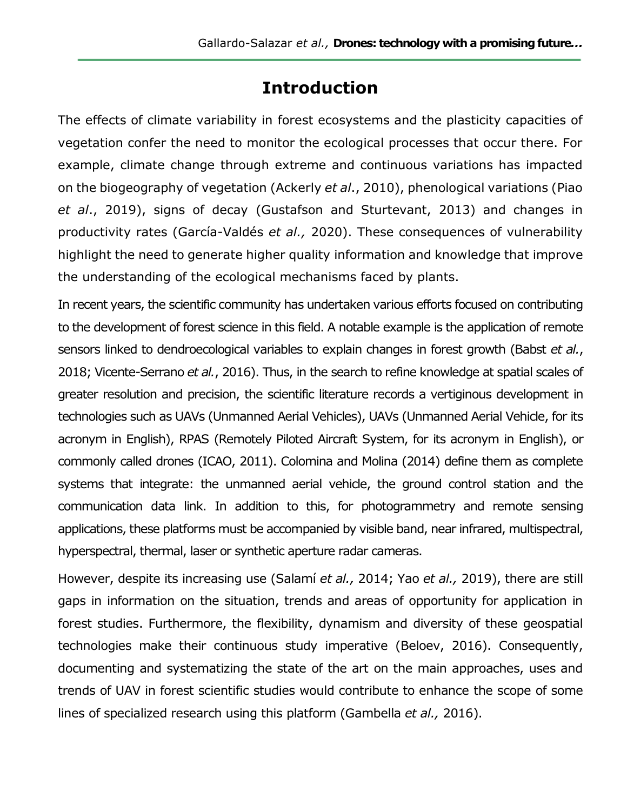# **Introduction**

The effects of climate variability in forest ecosystems and the plasticity capacities of vegetation confer the need to monitor the ecological processes that occur there. For example, climate change through extreme and continuous variations has impacted on the biogeography of vegetation (Ackerly *et al*., 2010), phenological variations (Piao *et al*., 2019), signs of decay (Gustafson and Sturtevant, 2013) and changes in productivity rates (García-Valdés *et al.,* 2020). These consequences of vulnerability highlight the need to generate higher quality information and knowledge that improve the understanding of the ecological mechanisms faced by plants.

In recent years, the scientific community has undertaken various efforts focused on contributing to the development of forest science in this field. A notable example is the application of remote sensors linked to dendroecological variables to explain changes in forest growth (Babst *et al.*, 2018; Vicente-Serrano *et al.*, 2016). Thus, in the search to refine knowledge at spatial scales of greater resolution and precision, the scientific literature records a vertiginous development in technologies such as UAVs (Unmanned Aerial Vehicles), UAVs (Unmanned Aerial Vehicle, for its acronym in English), RPAS (Remotely Piloted Aircraft System, for its acronym in English), or commonly called drones (ICAO, 2011). Colomina and Molina (2014) define them as complete systems that integrate: the unmanned aerial vehicle, the ground control station and the communication data link. In addition to this, for photogrammetry and remote sensing applications, these platforms must be accompanied by visible band, near infrared, multispectral, hyperspectral, thermal, laser or synthetic aperture radar cameras.

However, despite its increasing use (Salamí *et al.,* 2014; Yao *et al.,* 2019), there are still gaps in information on the situation, trends and areas of opportunity for application in forest studies. Furthermore, the flexibility, dynamism and diversity of these geospatial technologies make their continuous study imperative (Beloev, 2016). Consequently, documenting and systematizing the state of the art on the main approaches, uses and trends of UAV in forest scientific studies would contribute to enhance the scope of some lines of specialized research using this platform (Gambella *et al.,* 2016).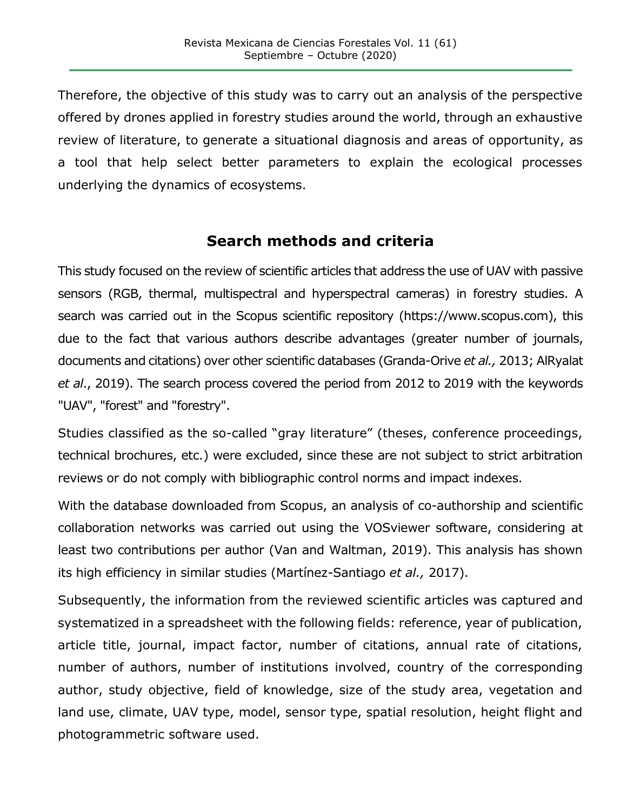Therefore, the objective of this study was to carry out an analysis of the perspective offered by drones applied in forestry studies around the world, through an exhaustive review of literature, to generate a situational diagnosis and areas of opportunity, as a tool that help select better parameters to explain the ecological processes underlying the dynamics of ecosystems.

## **Search methods and criteria**

This study focused on the review of scientific articles that address the use of UAV with passive sensors (RGB, thermal, multispectral and hyperspectral cameras) in forestry studies. A search was carried out in the Scopus scientific repository (https://www.scopus.com), this due to the fact that various authors describe advantages (greater number of journals, documents and citations) over other scientific databases (Granda-Orive *et al.,* 2013; AlRyalat *et al*., 2019). The search process covered the period from 2012 to 2019 with the keywords "UAV", "forest" and "forestry".

Studies classified as the so-called "gray literature" (theses, conference proceedings, technical brochures, etc.) were excluded, since these are not subject to strict arbitration reviews or do not comply with bibliographic control norms and impact indexes.

With the database downloaded from Scopus, an analysis of co-authorship and scientific collaboration networks was carried out using the VOSviewer software, considering at least two contributions per author (Van and Waltman, 2019). This analysis has shown its high efficiency in similar studies (Martínez-Santiago *et al.,* 2017).

Subsequently, the information from the reviewed scientific articles was captured and systematized in a spreadsheet with the following fields: reference, year of publication, article title, journal, impact factor, number of citations, annual rate of citations, number of authors, number of institutions involved, country of the corresponding author, study objective, field of knowledge, size of the study area, vegetation and land use, climate, UAV type, model, sensor type, spatial resolution, height flight and photogrammetric software used.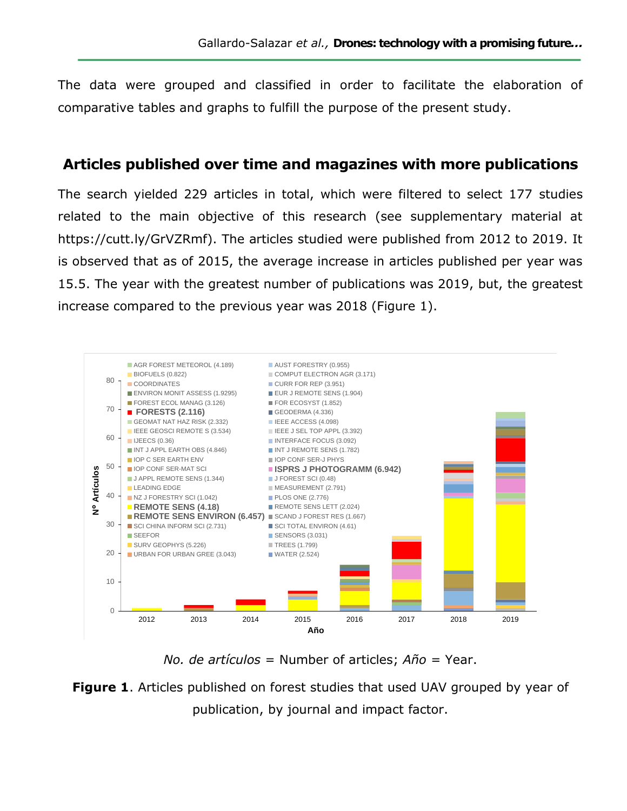The data were grouped and classified in order to facilitate the elaboration of comparative tables and graphs to fulfill the purpose of the present study.

### **Articles published over time and magazines with more publications**

The search yielded 229 articles in total, which were filtered to select 177 studies related to the main objective of this research (see supplementary material at https://cutt.ly/GrVZRmf). The articles studied were published from 2012 to 2019. It is observed that as of 2015, the average increase in articles published per year was 15.5. The year with the greatest number of publications was 2019, but, the greatest increase compared to the previous year was 2018 (Figure 1).



*No. de artículos* = Number of articles; *Año* = Year.

**Figure 1**. Articles published on forest studies that used UAV grouped by year of publication, by journal and impact factor.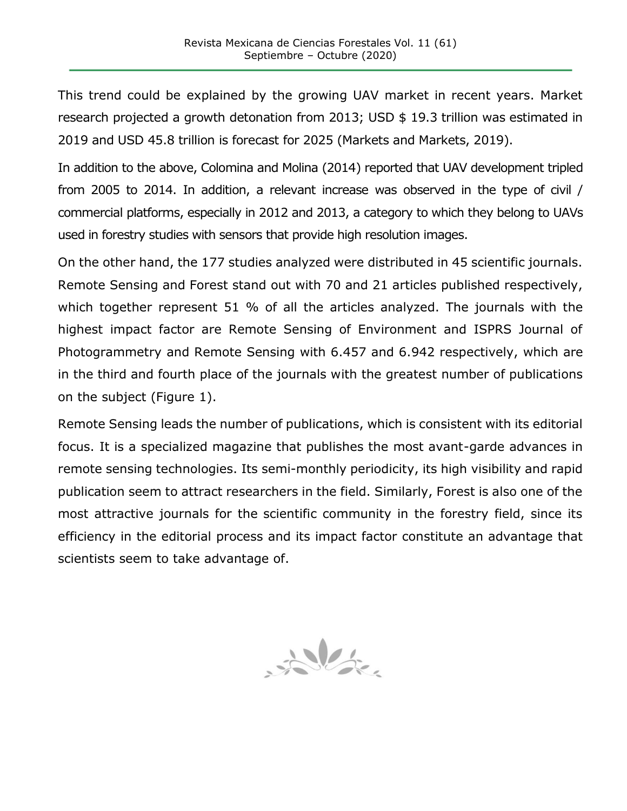This trend could be explained by the growing UAV market in recent years. Market research projected a growth detonation from 2013; USD \$ 19.3 trillion was estimated in 2019 and USD 45.8 trillion is forecast for 2025 (Markets and Markets, 2019).

In addition to the above, Colomina and Molina (2014) reported that UAV development tripled from 2005 to 2014. In addition, a relevant increase was observed in the type of civil / commercial platforms, especially in 2012 and 2013, a category to which they belong to UAVs used in forestry studies with sensors that provide high resolution images.

On the other hand, the 177 studies analyzed were distributed in 45 scientific journals. Remote Sensing and Forest stand out with 70 and 21 articles published respectively, which together represent 51 % of all the articles analyzed. The journals with the highest impact factor are Remote Sensing of Environment and ISPRS Journal of Photogrammetry and Remote Sensing with 6.457 and 6.942 respectively, which are in the third and fourth place of the journals with the greatest number of publications on the subject (Figure 1).

Remote Sensing leads the number of publications, which is consistent with its editorial focus. It is a specialized magazine that publishes the most avant-garde advances in remote sensing technologies. Its semi-monthly periodicity, its high visibility and rapid publication seem to attract researchers in the field. Similarly, Forest is also one of the most attractive journals for the scientific community in the forestry field, since its efficiency in the editorial process and its impact factor constitute an advantage that scientists seem to take advantage of.

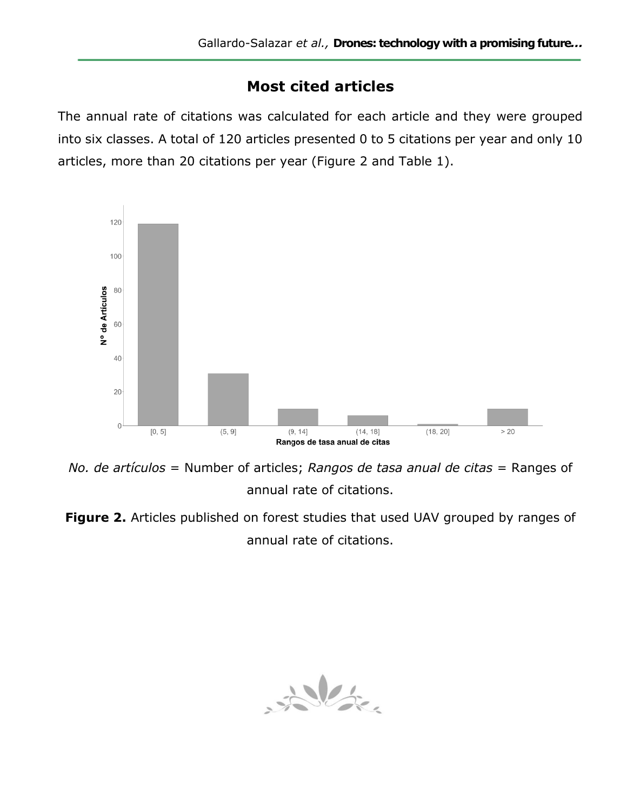## **Most cited articles**

The annual rate of citations was calculated for each article and they were grouped into six classes. A total of 120 articles presented 0 to 5 citations per year and only 10 articles, more than 20 citations per year (Figure 2 and Table 1).



*No. de artículos* = Number of articles; *Rangos de tasa anual de citas* = Ranges of annual rate of citations.

**Figure 2.** Articles published on forest studies that used UAV grouped by ranges of annual rate of citations.

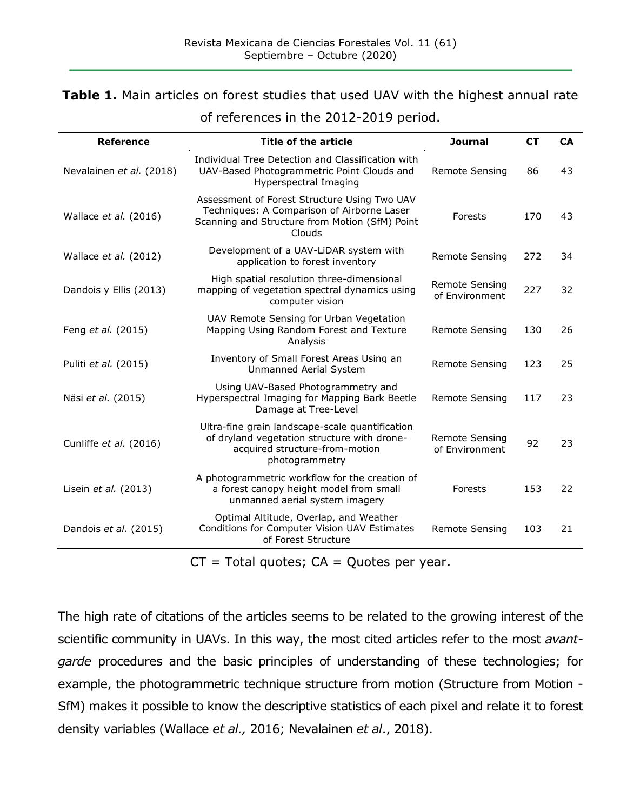#### **Table 1.** Main articles on forest studies that used UAV with the highest annual rate

| <b>Reference</b>         | Title of the article                                                                                                                                   | <b>Journal</b>                          | <b>CT</b> | <b>CA</b> |
|--------------------------|--------------------------------------------------------------------------------------------------------------------------------------------------------|-----------------------------------------|-----------|-----------|
| Nevalainen et al. (2018) | Individual Tree Detection and Classification with<br>UAV-Based Photogrammetric Point Clouds and<br>Hyperspectral Imaging                               | <b>Remote Sensing</b>                   | 86        | 43        |
| Wallace et al. (2016)    | Assessment of Forest Structure Using Two UAV<br>Techniques: A Comparison of Airborne Laser<br>Scanning and Structure from Motion (SfM) Point<br>Clouds | Forests                                 | 170       | 43        |
| Wallace et al. (2012)    | Development of a UAV-LiDAR system with<br>application to forest inventory                                                                              | <b>Remote Sensing</b>                   | 272       | 34        |
| Dandois y Ellis (2013)   | High spatial resolution three-dimensional<br>mapping of vegetation spectral dynamics using<br>computer vision                                          | Remote Sensing<br>of Environment        | 227       | 32        |
| Feng et al. (2015)       | UAV Remote Sensing for Urban Vegetation<br>Mapping Using Random Forest and Texture<br>Analysis                                                         | Remote Sensing                          | 130       | 26        |
| Puliti et al. (2015)     | Inventory of Small Forest Areas Using an<br>Unmanned Aerial System                                                                                     | Remote Sensing                          | 123       | 25        |
| Näsi et al. (2015)       | Using UAV-Based Photogrammetry and<br>Hyperspectral Imaging for Mapping Bark Beetle<br>Damage at Tree-Level                                            | <b>Remote Sensing</b>                   | 117       | 23        |
| Cunliffe et al. (2016)   | Ultra-fine grain landscape-scale quantification<br>of dryland vegetation structure with drone-<br>acquired structure-from-motion<br>photogrammetry     | <b>Remote Sensing</b><br>of Environment | 92        | 23        |
| Lisein et al. (2013)     | A photogrammetric workflow for the creation of<br>a forest canopy height model from small<br>unmanned aerial system imagery                            | Forests                                 | 153       | 22        |
| Dandois et al. (2015)    | Optimal Altitude, Overlap, and Weather<br>Conditions for Computer Vision UAV Estimates<br>of Forest Structure                                          | Remote Sensing                          | 103       | 21        |

of references in the 2012-2019 period.

 $CT = Total quotes; CA = Quotes per year.$ 

The high rate of citations of the articles seems to be related to the growing interest of the scientific community in UAVs. In this way, the most cited articles refer to the most *avantgarde* procedures and the basic principles of understanding of these technologies; for example, the photogrammetric technique structure from motion (Structure from Motion - SfM) makes it possible to know the descriptive statistics of each pixel and relate it to forest density variables (Wallace *et al.,* 2016; Nevalainen *et al*., 2018).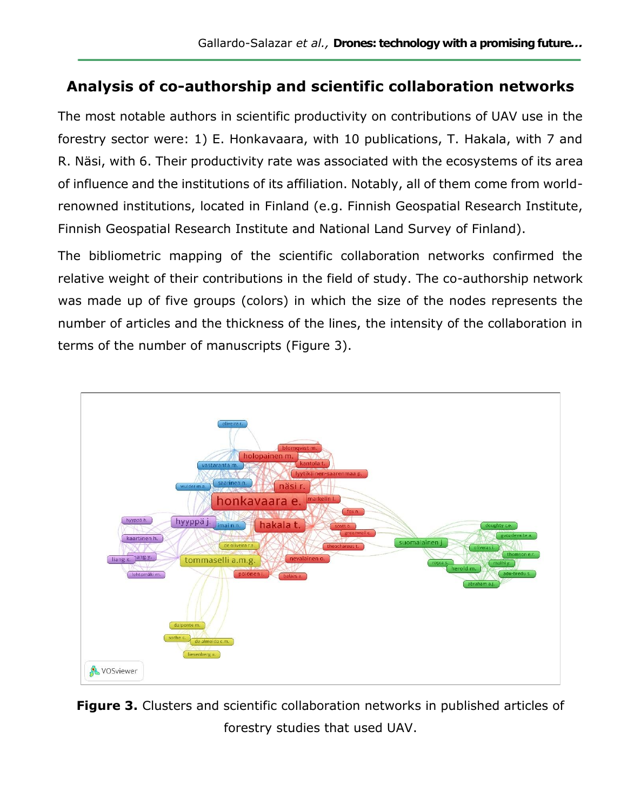## **Analysis of co-authorship and scientific collaboration networks**

The most notable authors in scientific productivity on contributions of UAV use in the forestry sector were: 1) E. Honkavaara, with 10 publications, T. Hakala, with 7 and R. Näsi, with 6. Their productivity rate was associated with the ecosystems of its area of influence and the institutions of its affiliation. Notably, all of them come from worldrenowned institutions, located in Finland (e.g. Finnish Geospatial Research Institute, Finnish Geospatial Research Institute and National Land Survey of Finland).

The bibliometric mapping of the scientific collaboration networks confirmed the relative weight of their contributions in the field of study. The co-authorship network was made up of five groups (colors) in which the size of the nodes represents the number of articles and the thickness of the lines, the intensity of the collaboration in terms of the number of manuscripts (Figure 3).



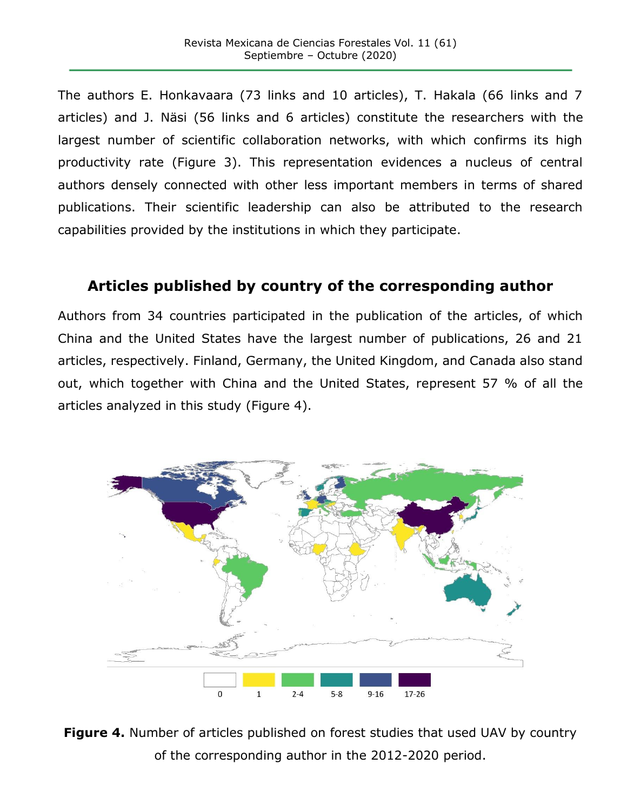The authors E. Honkavaara (73 links and 10 articles), T. Hakala (66 links and 7 articles) and J. Näsi (56 links and 6 articles) constitute the researchers with the largest number of scientific collaboration networks, with which confirms its high productivity rate (Figure 3). This representation evidences a nucleus of central authors densely connected with other less important members in terms of shared publications. Their scientific leadership can also be attributed to the research capabilities provided by the institutions in which they participate.

## **Articles published by country of the corresponding author**

Authors from 34 countries participated in the publication of the articles, of which China and the United States have the largest number of publications, 26 and 21 articles, respectively. Finland, Germany, the United Kingdom, and Canada also stand out, which together with China and the United States, represent 57 % of all the articles analyzed in this study (Figure 4).



**Figure 4.** Number of articles published on forest studies that used UAV by country of the corresponding author in the 2012-2020 period.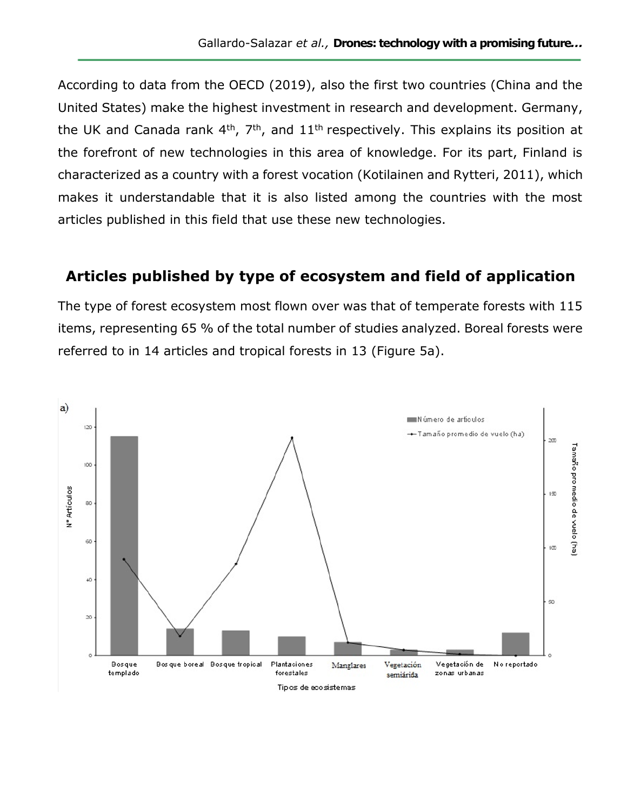According to data from the OECD (2019), also the first two countries (China and the United States) make the highest investment in research and development. Germany, the UK and Canada rank  $4<sup>th</sup>$ ,  $7<sup>th</sup>$ , and  $11<sup>th</sup>$  respectively. This explains its position at the forefront of new technologies in this area of knowledge. For its part, Finland is characterized as a country with a forest vocation (Kotilainen and Rytteri, 2011), which makes it understandable that it is also listed among the countries with the most articles published in this field that use these new technologies.

### **Articles published by type of ecosystem and field of application**

The type of forest ecosystem most flown over was that of temperate forests with 115 items, representing 65 % of the total number of studies analyzed. Boreal forests were referred to in 14 articles and tropical forests in 13 (Figure 5a).

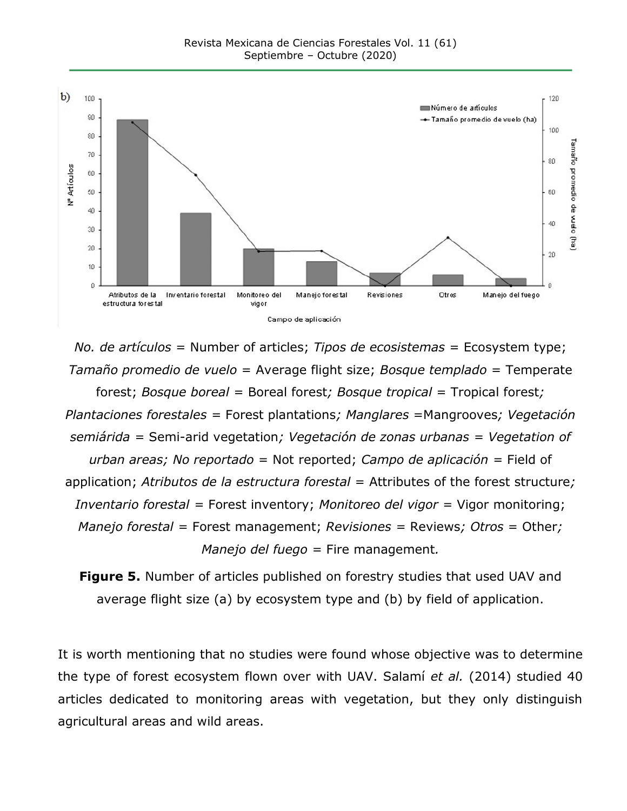

*No. de artículos* = Number of articles; *Tipos de ecosistemas* = Ecosystem type; *Tamaño promedio de vuelo* = Average flight size; *Bosque templado* = Temperate forest; *Bosque boreal* = Boreal forest*; Bosque tropical* = Tropical forest*; Plantaciones forestales =* Forest plantations*; Manglares* =Mangrooves*; Vegetación semiárida =* Semi-arid vegetation*; Vegetación de zonas urbanas = Vegetation of urban areas; No reportado* = Not reported; *Campo de aplicación =* Field of application; *Atributos de la estructura forestal* = Attributes of the forest structure*; Inventario forestal =* Forest inventory; *Monitoreo del vigor =* Vigor monitoring; *Manejo forestal =* Forest management; *Revisiones =* Reviews*; Otros* = Other*; Manejo del fuego =* Fire management*.*

**Figure 5.** Number of articles published on forestry studies that used UAV and average flight size (a) by ecosystem type and (b) by field of application.

It is worth mentioning that no studies were found whose objective was to determine the type of forest ecosystem flown over with UAV. Salamí *et al.* (2014) studied 40 articles dedicated to monitoring areas with vegetation, but they only distinguish agricultural areas and wild areas.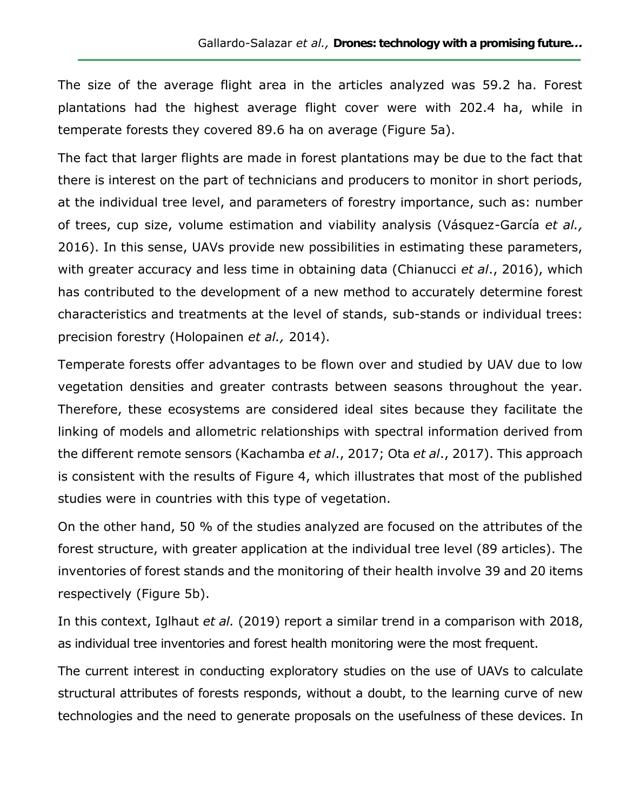The size of the average flight area in the articles analyzed was 59.2 ha. Forest plantations had the highest average flight cover were with 202.4 ha, while in temperate forests they covered 89.6 ha on average (Figure 5a).

The fact that larger flights are made in forest plantations may be due to the fact that there is interest on the part of technicians and producers to monitor in short periods, at the individual tree level, and parameters of forestry importance, such as: number of trees, cup size, volume estimation and viability analysis (Vásquez-García *et al.,* 2016). In this sense, UAVs provide new possibilities in estimating these parameters, with greater accuracy and less time in obtaining data (Chianucci *et al*., 2016), which has contributed to the development of a new method to accurately determine forest characteristics and treatments at the level of stands, sub-stands or individual trees: precision forestry (Holopainen *et al.,* 2014).

Temperate forests offer advantages to be flown over and studied by UAV due to low vegetation densities and greater contrasts between seasons throughout the year. Therefore, these ecosystems are considered ideal sites because they facilitate the linking of models and allometric relationships with spectral information derived from the different remote sensors (Kachamba *et al*., 2017; Ota *et al*., 2017). This approach is consistent with the results of Figure 4, which illustrates that most of the published studies were in countries with this type of vegetation.

On the other hand, 50 % of the studies analyzed are focused on the attributes of the forest structure, with greater application at the individual tree level (89 articles). The inventories of forest stands and the monitoring of their health involve 39 and 20 items respectively (Figure 5b).

In this context, Iglhaut *et al.* (2019) report a similar trend in a comparison with 2018, as individual tree inventories and forest health monitoring were the most frequent.

The current interest in conducting exploratory studies on the use of UAVs to calculate structural attributes of forests responds, without a doubt, to the learning curve of new technologies and the need to generate proposals on the usefulness of these devices. In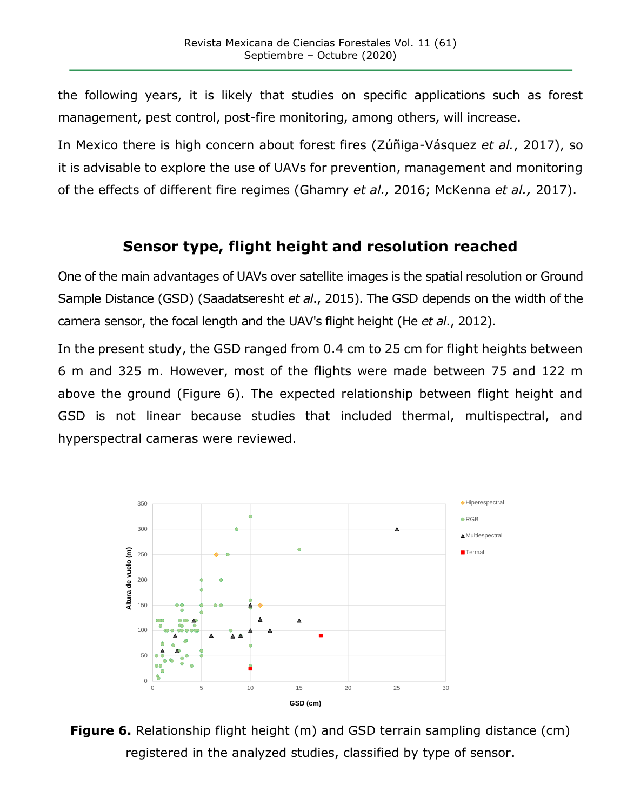the following years, it is likely that studies on specific applications such as forest management, pest control, post-fire monitoring, among others, will increase.

In Mexico there is high concern about forest fires (Zúñiga-Vásquez *et al.*, 2017), so it is advisable to explore the use of UAVs for prevention, management and monitoring of the effects of different fire regimes (Ghamry *et al.,* 2016; McKenna *et al.,* 2017).

## **Sensor type, flight height and resolution reached**

One of the main advantages of UAVs over satellite images is the spatial resolution or Ground Sample Distance (GSD) (Saadatseresht *et al*., 2015). The GSD depends on the width of the camera sensor, the focal length and the UAV's flight height (He *et al*., 2012).

In the present study, the GSD ranged from 0.4 cm to 25 cm for flight heights between 6 m and 325 m. However, most of the flights were made between 75 and 122 m above the ground (Figure 6). The expected relationship between flight height and GSD is not linear because studies that included thermal, multispectral, and hyperspectral cameras were reviewed.



**Figure 6.** Relationship flight height (m) and GSD terrain sampling distance (cm) registered in the analyzed studies, classified by type of sensor.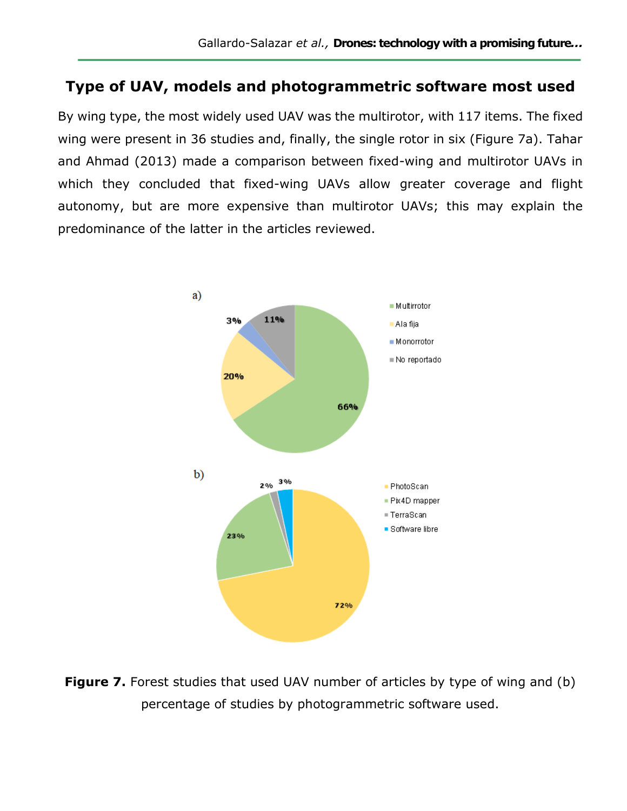### **Type of UAV, models and photogrammetric software most used**

By wing type, the most widely used UAV was the multirotor, with 117 items. The fixed wing were present in 36 studies and, finally, the single rotor in six (Figure 7a). Tahar and Ahmad (2013) made a comparison between fixed-wing and multirotor UAVs in which they concluded that fixed-wing UAVs allow greater coverage and flight autonomy, but are more expensive than multirotor UAVs; this may explain the predominance of the latter in the articles reviewed.



**Figure 7.** Forest studies that used UAV number of articles by type of wing and (b) percentage of studies by photogrammetric software used.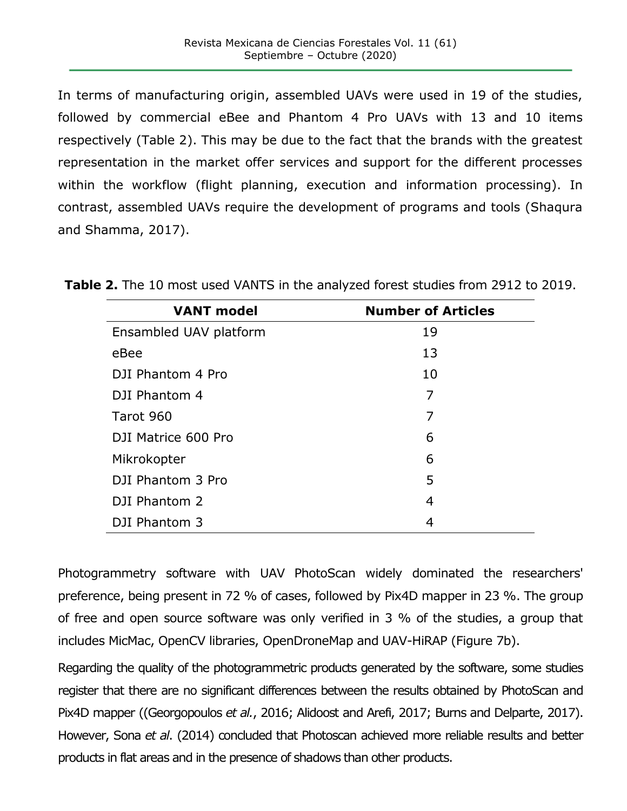In terms of manufacturing origin, assembled UAVs were used in 19 of the studies, followed by commercial eBee and Phantom 4 Pro UAVs with 13 and 10 items respectively (Table 2). This may be due to the fact that the brands with the greatest representation in the market offer services and support for the different processes within the workflow (flight planning, execution and information processing). In contrast, assembled UAVs require the development of programs and tools (Shaqura and Shamma, 2017).

| <b>VANT model</b>      | <b>Number of Articles</b> |
|------------------------|---------------------------|
| Ensambled UAV platform | 19                        |
| eBee                   | 13                        |
| DJI Phantom 4 Pro      | 10                        |
| DJI Phantom 4          | 7                         |
| Tarot 960              | 7                         |
| DJI Matrice 600 Pro    | 6                         |
| Mikrokopter            | 6                         |
| DJI Phantom 3 Pro      | 5                         |
| DJI Phantom 2          | $\overline{4}$            |
| DJI Phantom 3          | 4                         |

**Table 2.** The 10 most used VANTS in the analyzed forest studies from 2912 to 2019.

Photogrammetry software with UAV PhotoScan widely dominated the researchers' preference, being present in 72 % of cases, followed by Pix4D mapper in 23 %. The group of free and open source software was only verified in 3 % of the studies, a group that includes MicMac, OpenCV libraries, OpenDroneMap and UAV-HiRAP (Figure 7b).

Regarding the quality of the photogrammetric products generated by the software, some studies register that there are no significant differences between the results obtained by PhotoScan and Pix4D mapper ((Georgopoulos *et al.*, 2016; Alidoost and Arefi, 2017; Burns and Delparte, 2017). However, Sona *et al*. (2014) concluded that Photoscan achieved more reliable results and better products in flat areas and in the presence of shadows than other products.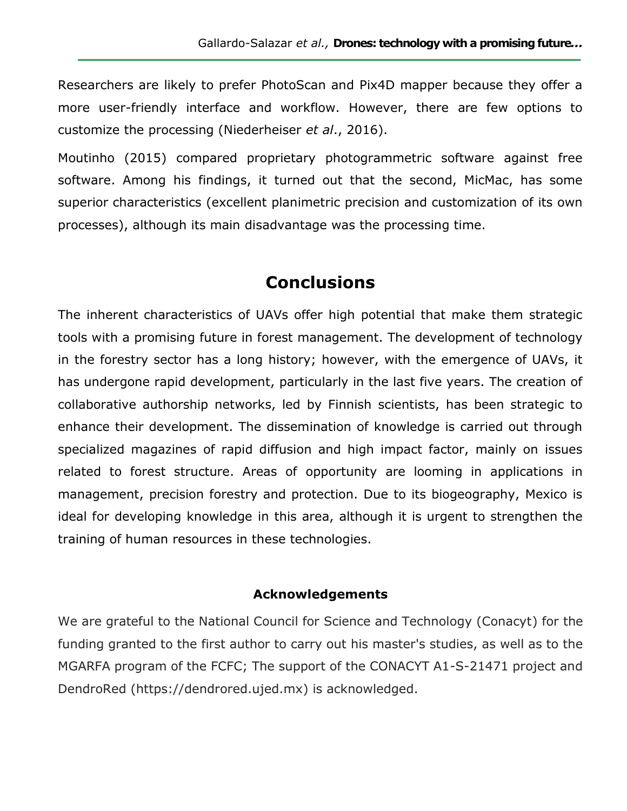Researchers are likely to prefer PhotoScan and Pix4D mapper because they offer a more user-friendly interface and workflow. However, there are few options to customize the processing (Niederheiser *et al*., 2016).

Moutinho (2015) compared proprietary photogrammetric software against free software. Among his findings, it turned out that the second, MicMac, has some superior characteristics (excellent planimetric precision and customization of its own processes), although its main disadvantage was the processing time.

## **Conclusions**

The inherent characteristics of UAVs offer high potential that make them strategic tools with a promising future in forest management. The development of technology in the forestry sector has a long history; however, with the emergence of UAVs, it has undergone rapid development, particularly in the last five years. The creation of collaborative authorship networks, led by Finnish scientists, has been strategic to enhance their development. The dissemination of knowledge is carried out through specialized magazines of rapid diffusion and high impact factor, mainly on issues related to forest structure. Areas of opportunity are looming in applications in management, precision forestry and protection. Due to its biogeography, Mexico is ideal for developing knowledge in this area, although it is urgent to strengthen the training of human resources in these technologies.

#### **Acknowledgements**

We are grateful to the National Council for Science and Technology (Conacyt) for the funding granted to the first author to carry out his master's studies, as well as to the MGARFA program of the FCFC; The support of the CONACYT A1-S-21471 project and DendroRed (https://dendrored.ujed.mx) is acknowledged.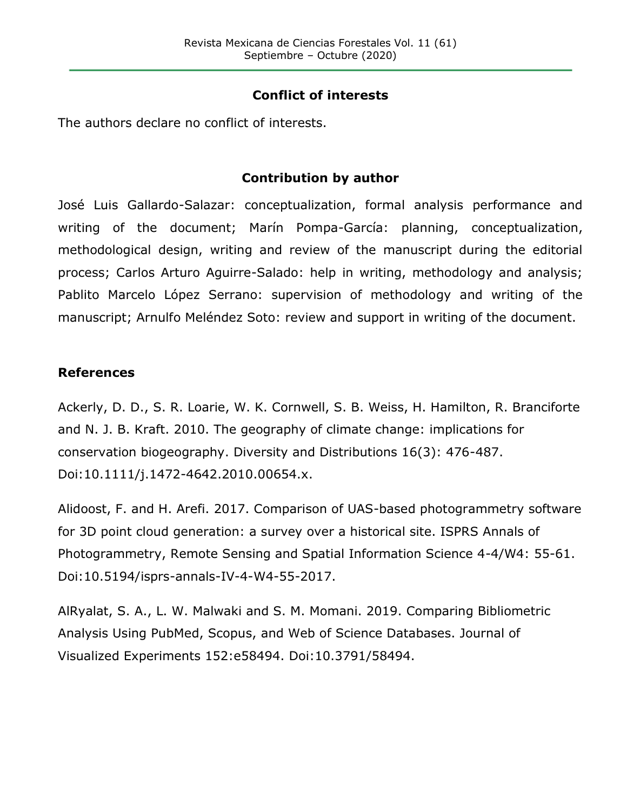#### **Conflict of interests**

The authors declare no conflict of interests.

#### **Contribution by author**

José Luis Gallardo-Salazar: conceptualization, formal analysis performance and writing of the document; Marín Pompa-García: planning, conceptualization, methodological design, writing and review of the manuscript during the editorial process; Carlos Arturo Aguirre-Salado: help in writing, methodology and analysis; Pablito Marcelo López Serrano: supervision of methodology and writing of the manuscript; Arnulfo Meléndez Soto: review and support in writing of the document.

#### **References**

Ackerly, D. D., S. R. Loarie, W. K. Cornwell, S. B. Weiss, H. Hamilton, R. Branciforte and N. J. B. Kraft. 2010. The geography of climate change: implications for conservation biogeography. Diversity and Distributions 16(3): 476-487. Doi:10.1111/j.1472-4642.2010.00654.x.

Alidoost, F. and H. Arefi. 2017. Comparison of UAS-based photogrammetry software for 3D point cloud generation: a survey over a historical site. ISPRS Annals of Photogrammetry, Remote Sensing and Spatial Information Science 4-4/W4: 55-61. Doi:10.5194/isprs-annals-IV-4-W4-55-2017.

AlRyalat, S. A., L. W. Malwaki and S. M. Momani. 2019. Comparing Bibliometric Analysis Using PubMed, Scopus, and Web of Science Databases. Journal of Visualized Experiments 152:e58494. Doi:10.3791/58494.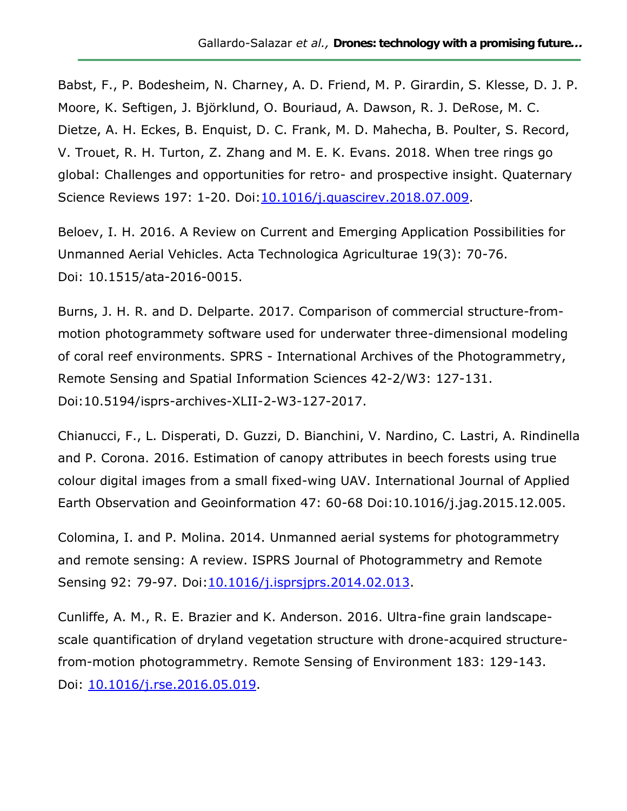Babst, F., P. Bodesheim, N. Charney, A. D. Friend, M. P. Girardin, S. Klesse, D. J. P. Moore, K. Seftigen, J. Björklund, O. Bouriaud, A. Dawson, R. J. DeRose, M. C. Dietze, A. H. Eckes, B. Enquist, D. C. Frank, M. D. Mahecha, B. Poulter, S. Record, V. Trouet, R. H. Turton, Z. Zhang and M. E. K. Evans. 2018. When tree rings go global: Challenges and opportunities for retro- and prospective insight. Quaternary Science Reviews 197: 1-20. Doi[:10.1016/j.quascirev.2018.07.009.](https://doi.org/10.1016/j.quascirev.2018.07.009)

Beloev, I. H. 2016. A Review on Current and Emerging Application Possibilities for Unmanned Aerial Vehicles. Acta Technologica Agriculturae 19(3): 70-76. Doi: 10.1515/ata-2016-0015.

Burns, J. H. R. and D. Delparte. 2017. Comparison of commercial structure-frommotion photogrammety software used for underwater three-dimensional modeling of coral reef environments. SPRS - International Archives of the Photogrammetry, Remote Sensing and Spatial Information Sciences 42-2/W3: 127-131. Doi:10.5194/isprs-archives-XLII-2-W3-127-2017.

Chianucci, F., L. Disperati, D. Guzzi, D. Bianchini, V. Nardino, C. Lastri, A. Rindinella and P. Corona. 2016. Estimation of canopy attributes in beech forests using true colour digital images from a small fixed-wing UAV. International Journal of Applied Earth Observation and Geoinformation 47: 60-68 Doi:10.1016/j.jag.2015.12.005.

Colomina, I. and P. Molina. 2014. Unmanned aerial systems for photogrammetry and remote sensing: A review. ISPRS Journal of Photogrammetry and Remote Sensing 92: 79-97. Doi[:10.1016/j.isprsjprs.2014.02.013.](https://doi.org/10.1016/j.isprsjprs.2014.02.013)

Cunliffe, A. M., R. E. Brazier and K. Anderson. 2016. Ultra-fine grain landscapescale quantification of dryland vegetation structure with drone-acquired structurefrom-motion photogrammetry. Remote Sensing of Environment 183: 129-143. Doi: [10.1016/j.rse.2016.05.019.](https://doi.org/10.1016/j.rse.2016.05.019)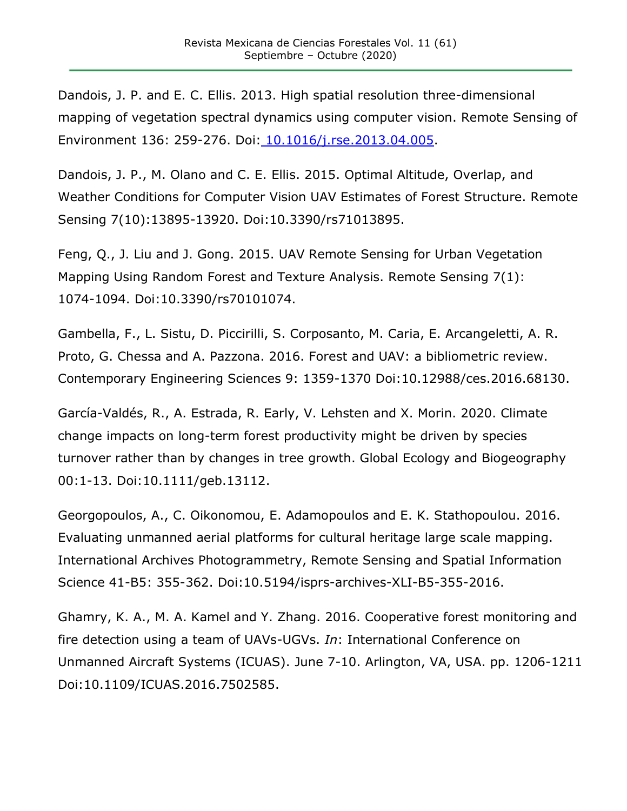Dandois, J. P. and E. C. Ellis. 2013. High spatial resolution three-dimensional mapping of vegetation spectral dynamics using computer vision. Remote Sensing of Environment 136: 259-276. Doi: [10.1016/j.rse.2013.04.005.](https://doi.org/10.1016/j.rse.2013.04.005)

Dandois, J. P., M. Olano and C. E. Ellis. 2015. Optimal Altitude, Overlap, and Weather Conditions for Computer Vision UAV Estimates of Forest Structure. Remote Sensing 7(10):13895-13920. Doi:10.3390/rs71013895.

Feng, Q., J. Liu and J. Gong. 2015. UAV Remote Sensing for Urban Vegetation Mapping Using Random Forest and Texture Analysis. Remote Sensing 7(1): 1074-1094. Doi:10.3390/rs70101074.

Gambella, F., L. Sistu, D. Piccirilli, S. Corposanto, M. Caria, E. Arcangeletti, A. R. Proto, G. Chessa and A. Pazzona. 2016. Forest and UAV: a bibliometric review. Contemporary Engineering Sciences 9: 1359-1370 Doi:10.12988/ces.2016.68130.

García-Valdés, R., A. Estrada, R. Early, V. Lehsten and X. Morin. 2020. Climate change impacts on long-term forest productivity might be driven by species turnover rather than by changes in tree growth. Global Ecology and Biogeography 00:1-13. Doi:10.1111/geb.13112.

Georgopoulos, A., C. Oikonomou, E. Adamopoulos and E. K. Stathopoulou. 2016. Evaluating unmanned aerial platforms for cultural heritage large scale mapping. International Archives Photogrammetry, Remote Sensing and Spatial Information Science 41-B5: 355-362. Doi:10.5194/isprs-archives-XLI-B5-355-2016.

Ghamry, K. A., M. A. Kamel and Y. Zhang. 2016. Cooperative forest monitoring and fire detection using a team of UAVs-UGVs. *In*: International Conference on Unmanned Aircraft Systems (ICUAS). June 7-10. Arlington, VA, USA. pp. 1206-1211 Doi:10.1109/ICUAS.2016.7502585.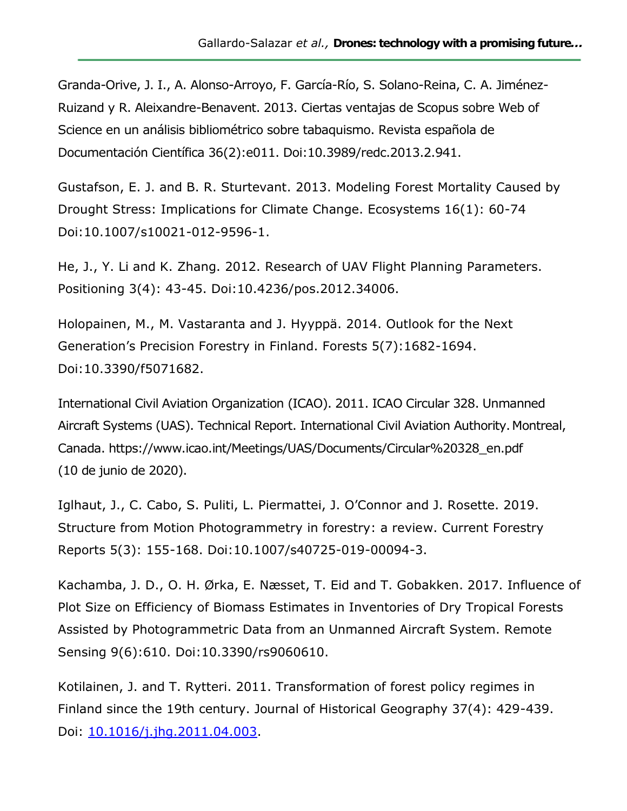Granda-Orive, J. I., A. Alonso-Arroyo, F. García-Río, S. Solano-Reina, C. A. Jiménez-Ruizand y R. Aleixandre-Benavent. 2013. Ciertas ventajas de Scopus sobre Web of Science en un análisis bibliométrico sobre tabaquismo. Revista española de Documentación Científica 36(2):e011. Doi:10.3989/redc.2013.2.941.

Gustafson, E. J. and B. R. Sturtevant. 2013. Modeling Forest Mortality Caused by Drought Stress: Implications for Climate Change. Ecosystems 16(1): 60-74 Doi:10.1007/s10021-012-9596-1.

He, J., Y. Li and K. Zhang. 2012. Research of UAV Flight Planning Parameters. Positioning 3(4): 43-45. Doi:10.4236/pos.2012.34006.

Holopainen, M., M. Vastaranta and J. Hyyppä. 2014. Outlook for the Next Generation's Precision Forestry in Finland. Forests 5(7):1682-1694. Doi:10.3390/f5071682.

International Civil Aviation Organization (ICAO). 2011. ICAO Circular 328. Unmanned Aircraft Systems (UAS). Technical Report. International Civil Aviation Authority. Montreal, Canada. https://www.icao.int/Meetings/UAS/Documents/Circular%20328\_en.pdf (10 de junio de 2020).

Iglhaut, J., C. Cabo, S. Puliti, L. Piermattei, J. O'Connor and J. Rosette. 2019. Structure from Motion Photogrammetry in forestry: a review. Current Forestry Reports 5(3): 155-168. Doi:10.1007/s40725-019-00094-3.

Kachamba, J. D., O. H. Ørka, E. Næsset, T. Eid and T. Gobakken. 2017. Influence of Plot Size on Efficiency of Biomass Estimates in Inventories of Dry Tropical Forests Assisted by Photogrammetric Data from an Unmanned Aircraft System. Remote Sensing 9(6):610. Doi:10.3390/rs9060610.

Kotilainen, J. and T. Rytteri. 2011. Transformation of forest policy regimes in Finland since the 19th century. Journal of Historical Geography 37(4): 429-439. Doi: [10.1016/j.jhg.2011.04.003.](https://doi.org/10.1016/j.jhg.2011.04.003)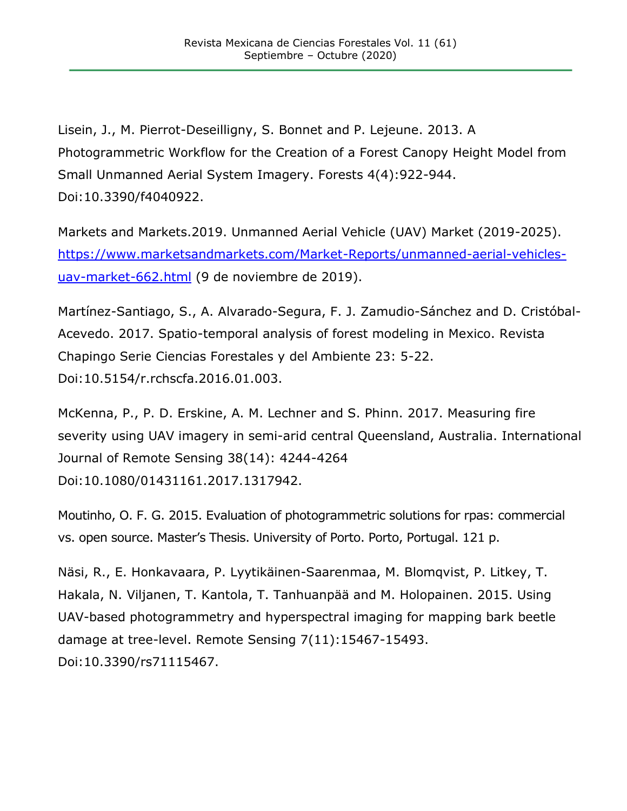Lisein, J., M. Pierrot-Deseilligny, S. Bonnet and P. Lejeune. 2013. A Photogrammetric Workflow for the Creation of a Forest Canopy Height Model from Small Unmanned Aerial System Imagery. Forests 4(4):922-944. Doi:10.3390/f4040922.

Markets and Markets.2019. Unmanned Aerial Vehicle (UAV) Market (2019-2025). [https://www.marketsandmarkets.com/Market-Reports/unmanned-aerial-vehicles](https://www.marketsandmarkets.com/Market-Reports/unmanned-aerial-vehicles-uav-market-662.html)[uav-market-662.html](https://www.marketsandmarkets.com/Market-Reports/unmanned-aerial-vehicles-uav-market-662.html) (9 de noviembre de 2019).

Martínez-Santiago, S., A. Alvarado-Segura, F. J. Zamudio-Sánchez and D. Cristóbal-Acevedo. 2017. Spatio-temporal analysis of forest modeling in Mexico. Revista Chapingo Serie Ciencias Forestales y del Ambiente 23: 5-22. Doi:10.5154/r.rchscfa.2016.01.003.

McKenna, P., P. D. Erskine, A. M. Lechner and S. Phinn. 2017. Measuring fire severity using UAV imagery in semi-arid central Queensland, Australia. International Journal of Remote Sensing 38(14): 4244-4264 Doi:10.1080/01431161.2017.1317942.

Moutinho, O. F. G. 2015. Evaluation of photogrammetric solutions for rpas: commercial vs. open source. Master's Thesis. University of Porto. Porto, Portugal. 121 p.

Näsi, R., E. Honkavaara, P. Lyytikäinen-Saarenmaa, M. Blomqvist, P. Litkey, T. Hakala, N. Viljanen, T. Kantola, T. Tanhuanpää and M. Holopainen. 2015. Using UAV-based photogrammetry and hyperspectral imaging for mapping bark beetle damage at tree-level. Remote Sensing 7(11):15467-15493. Doi:10.3390/rs71115467.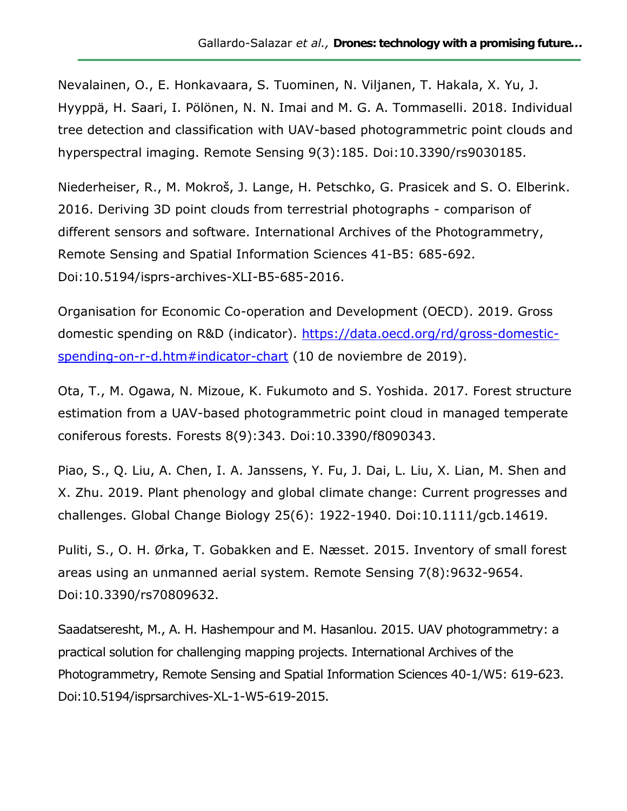Nevalainen, O., E. Honkavaara, S. Tuominen, N. Viljanen, T. Hakala, X. Yu, J. Hyyppä, H. Saari, I. Pölönen, N. N. Imai and M. G. A. Tommaselli. 2018. Individual tree detection and classification with UAV-based photogrammetric point clouds and hyperspectral imaging. Remote Sensing 9(3):185. Doi:10.3390/rs9030185.

Niederheiser, R., M. Mokroš, J. Lange, H. Petschko, G. Prasicek and S. O. Elberink. 2016. Deriving 3D point clouds from terrestrial photographs - comparison of different sensors and software. International Archives of the Photogrammetry, Remote Sensing and Spatial Information Sciences 41-B5: 685-692. Doi:10.5194/isprs-archives-XLI-B5-685-2016.

Organisation for Economic Co-operation and Development (OECD). 2019. Gross domestic spending on R&D (indicator). [https://data.oecd.org/rd/gross-domestic](https://data.oecd.org/rd/gross-domestic-spending-on-r-d.htm#indicator-chart)[spending-on-r-d.htm#indicator-chart](https://data.oecd.org/rd/gross-domestic-spending-on-r-d.htm#indicator-chart) (10 de noviembre de 2019).

Ota, T., M. Ogawa, N. Mizoue, K. Fukumoto and S. Yoshida. 2017. Forest structure estimation from a UAV-based photogrammetric point cloud in managed temperate coniferous forests. Forests 8(9):343. Doi:10.3390/f8090343.

Piao, S., Q. Liu, A. Chen, I. A. Janssens, Y. Fu, J. Dai, L. Liu, X. Lian, M. Shen and X. Zhu. 2019. Plant phenology and global climate change: Current progresses and challenges. Global Change Biology 25(6): 1922-1940. Doi:10.1111/gcb.14619.

Puliti, S., O. H. Ørka, T. Gobakken and E. Næsset. 2015. Inventory of small forest areas using an unmanned aerial system. Remote Sensing 7(8):9632-9654. Doi:10.3390/rs70809632.

Saadatseresht, M., A. H. Hashempour and M. Hasanlou. 2015. UAV photogrammetry: a practical solution for challenging mapping projects. International Archives of the Photogrammetry, Remote Sensing and Spatial Information Sciences 40-1/W5: 619-623. Doi:10.5194/isprsarchives-XL-1-W5-619-2015.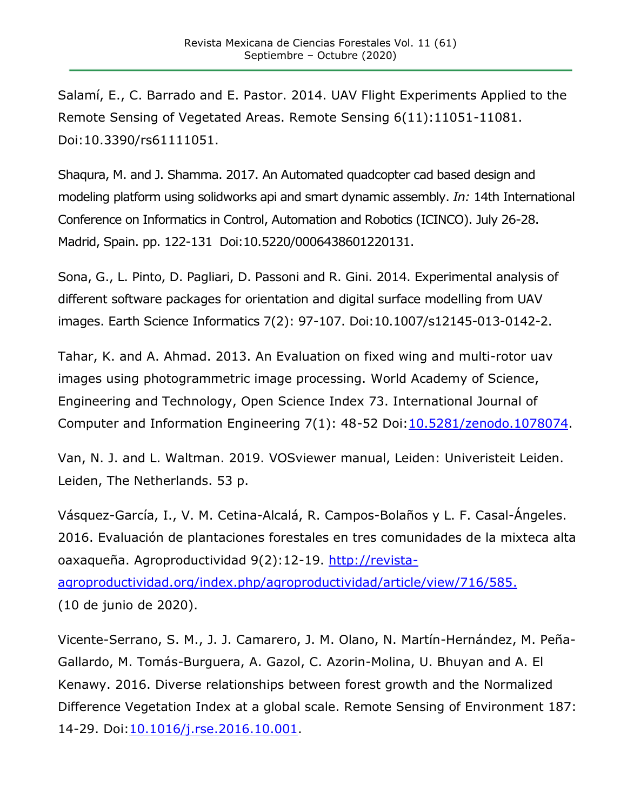Salamí, E., C. Barrado and E. Pastor. 2014. UAV Flight Experiments Applied to the Remote Sensing of Vegetated Areas. Remote Sensing 6(11):11051-11081. Doi:10.3390/rs61111051.

Shaqura, M. and J. Shamma. 2017. An Automated quadcopter cad based design and modeling platform using solidworks api and smart dynamic assembly. *In:* 14th International Conference on Informatics in Control, Automation and Robotics (ICINCO). July 26-28. Madrid, Spain. pp. 122-131 Doi:10.5220/0006438601220131.

Sona, G., L. Pinto, D. Pagliari, D. Passoni and R. Gini. 2014. Experimental analysis of different software packages for orientation and digital surface modelling from UAV images. Earth Science Informatics 7(2): 97-107. Doi:10.1007/s12145-013-0142-2.

Tahar, K. and A. Ahmad. 2013. An Evaluation on fixed wing and multi-rotor uav images using photogrammetric image processing. World Academy of Science, Engineering and Technology, Open Science Index 73. International Journal of Computer and Information Engineering 7(1): 48-52 Doi[:10.5281/zenodo.1078074.](https://doi.org/10.5281/zenodo.1078074)

Van, N. J. and L. Waltman. 2019. VOSviewer manual, Leiden: Univeristeit Leiden. Leiden, The Netherlands. 53 p.

Vásquez-García, I., V. M. Cetina-Alcalá, R. Campos-Bolaños y L. F. Casal-Ángeles. 2016. Evaluación de plantaciones forestales en tres comunidades de la mixteca alta oaxaqueña. Agroproductividad 9(2):12-19. [http://revista](http://revista-agroproductividad.org/index.php/agroproductividad/article/view/716/585)[agroproductividad.org/index.php/agroproductividad/article/view/716/585.](http://revista-agroproductividad.org/index.php/agroproductividad/article/view/716/585) (10 de junio de 2020).

Vicente-Serrano, S. M., J. J. Camarero, J. M. Olano, N. Martín-Hernández, M. Peña-Gallardo, M. Tomás-Burguera, A. Gazol, C. Azorin-Molina, U. Bhuyan and A. El Kenawy. 2016. Diverse relationships between forest growth and the Normalized Difference Vegetation Index at a global scale. Remote Sensing of Environment 187: 14-29. Doi[:10.1016/j.rse.2016.10.001.](https://doi.org/10.1016/j.rse.2016.10.001)